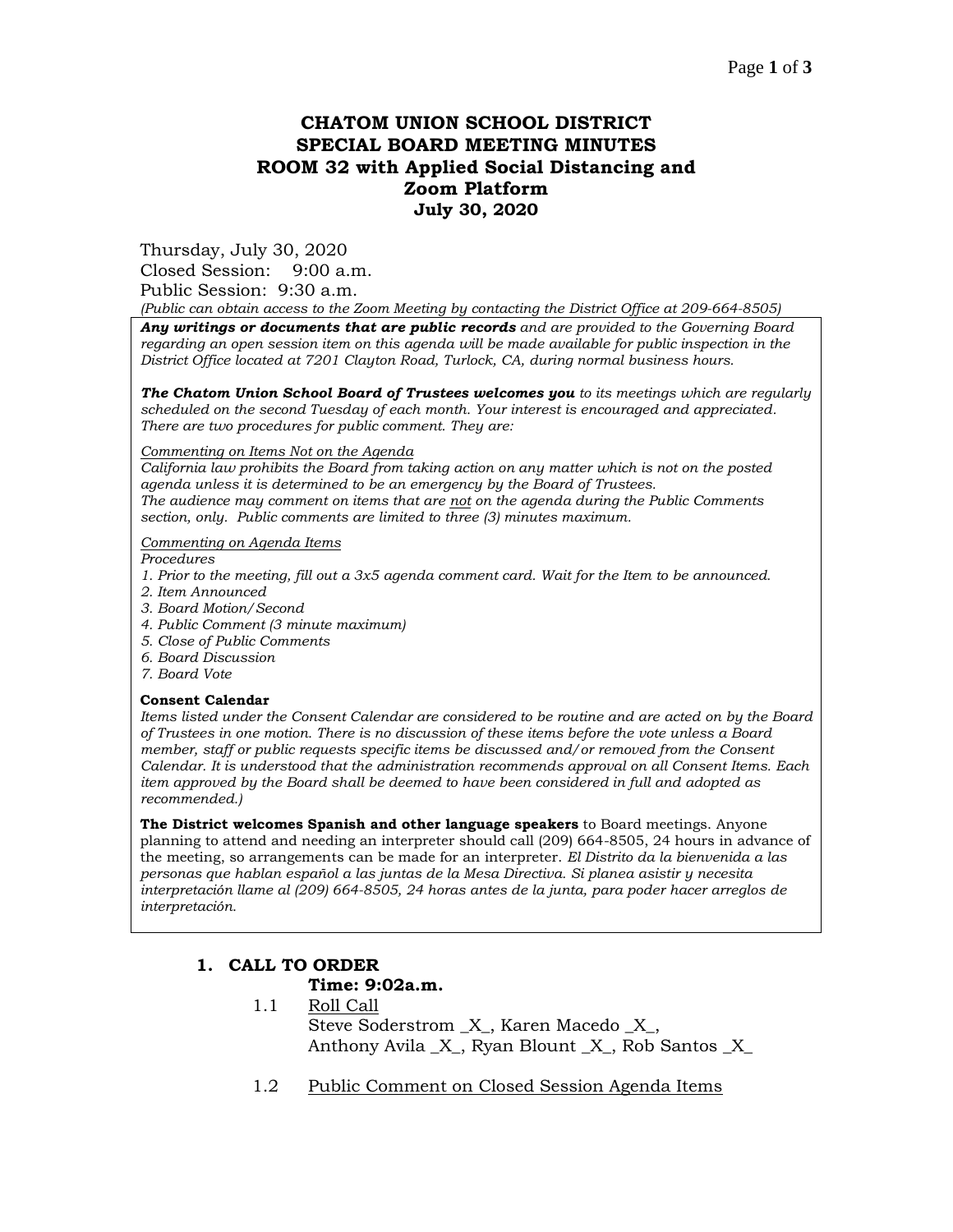# **CHATOM UNION SCHOOL DISTRICT SPECIAL BOARD MEETING MINUTES ROOM 32 with Applied Social Distancing and Zoom Platform July 30, 2020**

Thursday, July 30, 2020

Closed Session: 9:00 a.m. Public Session: 9:30 a.m.

*(Public can obtain access to the Zoom Meeting by contacting the District Office at 209-664-8505)*

*Any writings or documents that are public records and are provided to the Governing Board regarding an open session item on this agenda will be made available for public inspection in the District Office located at 7201 Clayton Road, Turlock, CA, during normal business hours.*

*The Chatom Union School Board of Trustees welcomes you to its meetings which are regularly scheduled on the second Tuesday of each month. Your interest is encouraged and appreciated. There are two procedures for public comment. They are:*

#### *Commenting on Items Not on the Agenda*

*California law prohibits the Board from taking action on any matter which is not on the posted agenda unless it is determined to be an emergency by the Board of Trustees. The audience may comment on items that are not on the agenda during the Public Comments section, only. Public comments are limited to three (3) minutes maximum.*

#### *Commenting on Agenda Items*

*Procedures* 

- *1. Prior to the meeting, fill out a 3x5 agenda comment card. Wait for the Item to be announced.*
- *2. Item Announced*
- *3. Board Motion/Second*
- *4. Public Comment (3 minute maximum)*
- *5. Close of Public Comments*
- *6. Board Discussion*
- *7. Board Vote*

#### **Consent Calendar**

*Items listed under the Consent Calendar are considered to be routine and are acted on by the Board of Trustees in one motion. There is no discussion of these items before the vote unless a Board member, staff or public requests specific items be discussed and/or removed from the Consent Calendar. It is understood that the administration recommends approval on all Consent Items. Each item approved by the Board shall be deemed to have been considered in full and adopted as recommended.)*

**The District welcomes Spanish and other language speakers** to Board meetings. Anyone planning to attend and needing an interpreter should call (209) 664-8505, 24 hours in advance of the meeting, so arrangements can be made for an interpreter. *El Distrito da la bienvenida a las personas que hablan español a las juntas de la Mesa Directiva. Si planea asistir y necesita interpretación llame al (209) 664-8505, 24 horas antes de la junta, para poder hacer arreglos de interpretación.*

### **1. CALL TO ORDER**

#### **Time: 9:02a.m.**

- 1.1 Roll Call Steve Soderstrom \_X\_, Karen Macedo \_X\_, Anthony Avila  $X$ , Ryan Blount  $X$ , Rob Santos X
- 1.2 Public Comment on Closed Session Agenda Items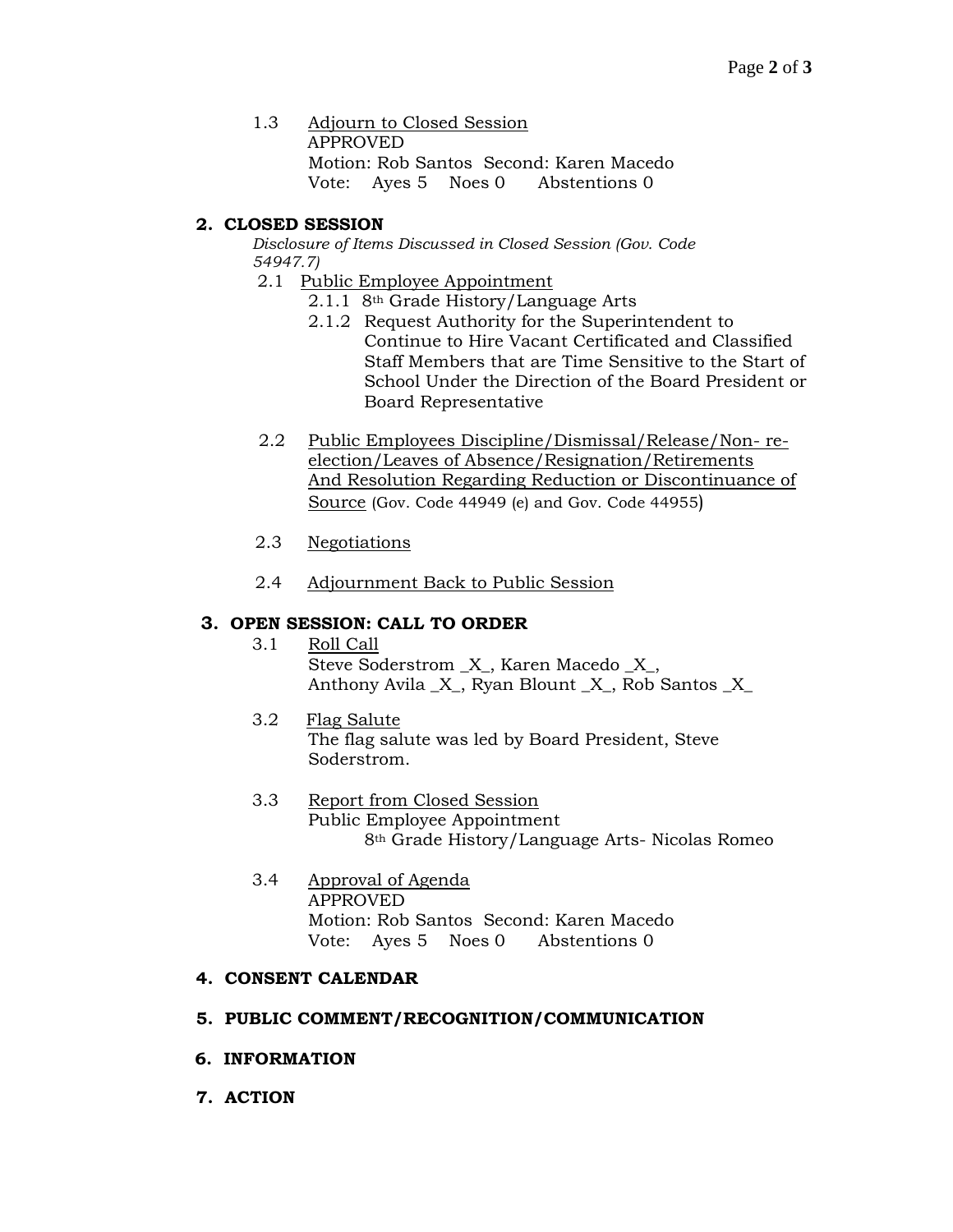1.3 Adjourn to Closed Session APPROVED Motion: Rob Santos Second: Karen Macedo Vote: Ayes 5 Noes 0 Abstentions 0

## **2. CLOSED SESSION**

*Disclosure of Items Discussed in Closed Session (Gov. Code 54947.7)*

- 2.1 Public Employee Appointment
	- 2.1.1 8th Grade History/Language Arts
	- 2.1.2 Request Authority for the Superintendent to Continue to Hire Vacant Certificated and Classified Staff Members that are Time Sensitive to the Start of School Under the Direction of the Board President or Board Representative
- 2.2 Public Employees Discipline/Dismissal/Release/Non- reelection/Leaves of Absence/Resignation/Retirements And Resolution Regarding Reduction or Discontinuance of Source (Gov. Code 44949 (e) and Gov. Code 44955)
- 2.3 Negotiations
- 2.4 Adjournment Back to Public Session

# **3. OPEN SESSION: CALL TO ORDER**

- 3.1 Roll Call Steve Soderstrom \_X\_, Karen Macedo \_X\_, Anthony Avila \_X\_, Ryan Blount \_X\_, Rob Santos \_X\_
- 3.2 Flag Salute The flag salute was led by Board President, Steve Soderstrom.
- 3.3 Report from Closed Session Public Employee Appointment 8th Grade History/Language Arts- Nicolas Romeo
- 3.4 Approval of Agenda APPROVED Motion: Rob Santos Second: Karen Macedo Vote: Ayes 5 Noes 0 Abstentions 0

## **4. CONSENT CALENDAR**

### **5. PUBLIC COMMENT/RECOGNITION/COMMUNICATION**

- **6. INFORMATION**
- **7. ACTION**